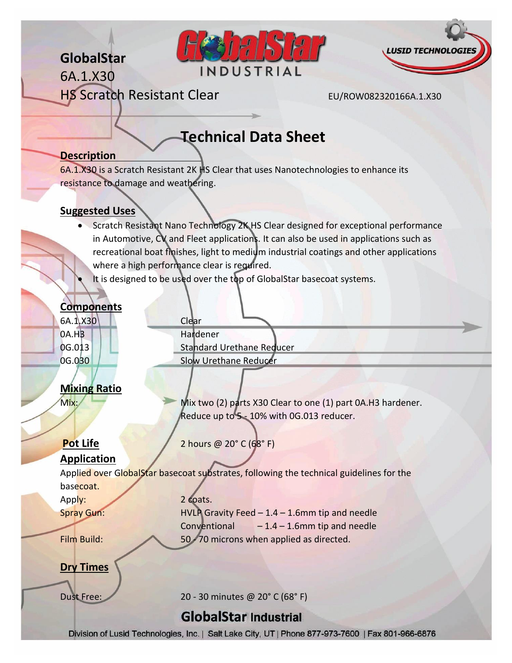## **GlobalStar**

6A.1.X30





HS Scratch Resistant Clear EU/ROW082320166A.1.X30

# **Technical Data Sheet**

#### **Description**

6A.1.X30 is a Scratch Resistant 2K HS Clear that uses Nanotechnologies to enhance its resistance to damage and weathering.

#### **Suggested Uses**

- Scratch Resistant Nano Technology 2K HS Clear designed for exceptional performance in Automotive, CV and Fleet applications. It can also be used in applications such as recreational boat finishes, light to medium industrial coatings and other applications where a high performance clear is required.
- It is designed to be used over the top of GlobalStar basecoat systems.

#### **Components**

6A.1.X30 Clear 0A.H3 Hardener

0G.013 | Standard Urethane Reducer 0G.030 | Slow Urethane Reducer

## **Mixing Ratio**

Mix: Mix: Mix two (2) parts X30 Clear to one (1) part 0A.H3 hardener. Reduce up to 5 - 10% with 0G.013 reducer.

## **Pot Life** 2 hours @ 20° C (68° F)

### **Application**

Applied over GlobalStar basecoat substrates, following the technical guidelines for the basecoat.

Apply: 2 coats. Spray Gun: HVLP Gravity Feed – 1.4 – 1.6mm tip and needle Conventional  $-1.4 - 1.6$ mm tip and needle Film Build: 50 - 70 microns when applied as directed.

**Dry Times**

Dust Free: 20 - 30 minutes @ 20° C (68° F)

## **GlobalStar Industrial**

Division of Lusid Technologies, Inc. | Salt Lake City, UT | Phone 877-973-7600 | Fax 801-966-6876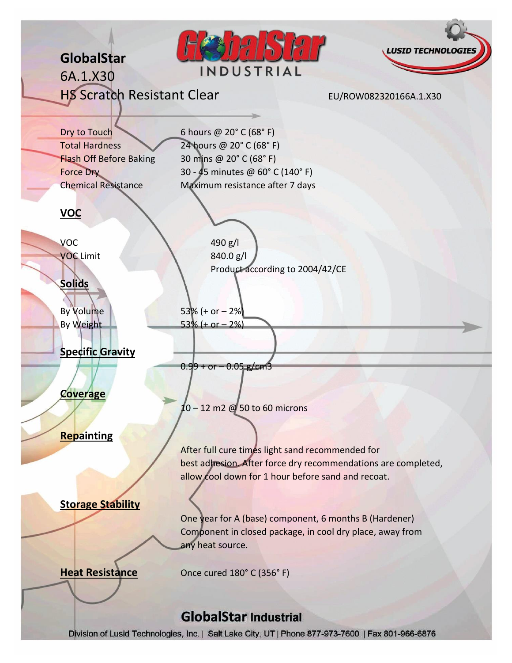